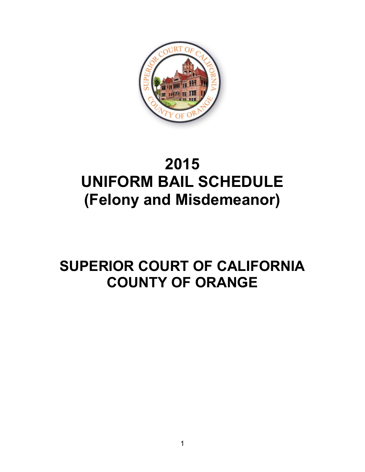

# **2015 UNIFORM BAIL SCHEDULE (Felony and Misdemeanor)**

## **SUPERIOR COURT OF CALIFORNIA COUNTY OF ORANGE**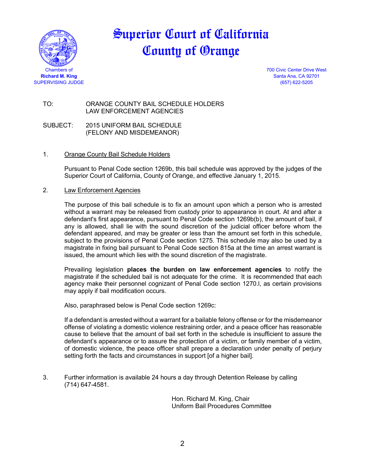

### Superior Court of California County of Orange

Chambers of 700 Civic Center Drive West **Richard M. King** Santa Ana, CA 92701

TO: ORANGE COUNTY BAIL SCHEDULE HOLDERS LAW ENFORCEMENT AGENCIES

SUBJECT: 2015 UNIFORM BAIL SCHEDULE (FELONY AND MISDEMEANOR)

#### 1. Orange County Bail Schedule Holders

Pursuant to Penal Code section 1269b, this bail schedule was approved by the judges of the Superior Court of California, County of Orange, and effective January 1, 2015.

#### 2. Law Enforcement Agencies

The purpose of this bail schedule is to fix an amount upon which a person who is arrested without a warrant may be released from custody prior to appearance in court. At and after a defendant's first appearance, pursuant to Penal Code section 1269b(b), the amount of bail, if any is allowed, shall lie with the sound discretion of the judicial officer before whom the defendant appeared, and may be greater or less than the amount set forth in this schedule, subject to the provisions of Penal Code section 1275. This schedule may also be used by a magistrate in fixing bail pursuant to Penal Code section 815a at the time an arrest warrant is issued, the amount which lies with the sound discretion of the magistrate.

Prevailing legislation **places the burden on law enforcement agencies** to notify the magistrate if the scheduled bail is not adequate for the crime. It is recommended that each agency make their personnel cognizant of Penal Code section 1270.l, as certain provisions may apply if bail modification occurs.

Also, paraphrased below is Penal Code section 1269c:

If a defendant is arrested without a warrant for a bailable felony offense or for the misdemeanor offense of violating a domestic violence restraining order, and a peace officer has reasonable cause to believe that the amount of bail set forth in the schedule is insufficient to assure the defendant's appearance or to assure the protection of a victim, or family member of a victim, of domestic violence, the peace officer shall prepare a declaration under penalty of perjury setting forth the facts and circumstances in support [of a higher bail].

3. Further information is available 24 hours a day through Detention Release by calling (714) 647-4581.

> Hon. Richard M. King, Chair Uniform Bail Procedures Committee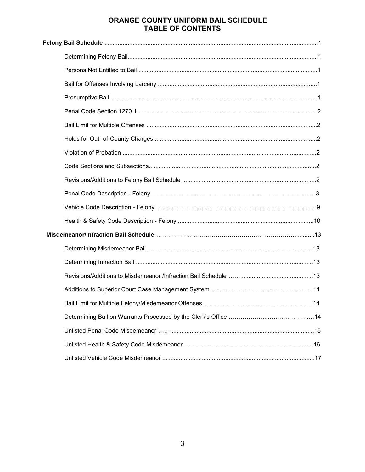#### ORANGE COUNTY UNIFORM BAIL SCHEDULE **TABLE OF CONTENTS**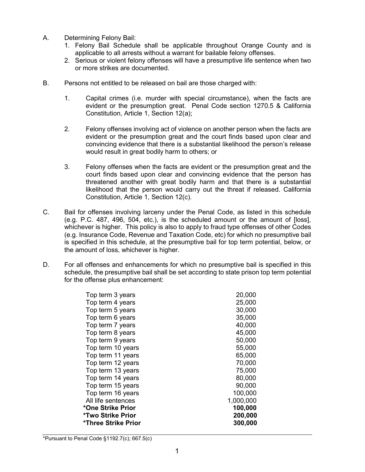- A. Determining Felony Bail:
	- 1. Felony Bail Schedule shall be applicable throughout Orange County and is applicable to all arrests without a warrant for bailable felony offenses.
	- 2. Serious or violent felony offenses will have a presumptive life sentence when two or more strikes are documented.
- B. Persons not entitled to be released on bail are those charged with:
	- 1. Capital crimes (i.e. murder with special circumstance), when the facts are evident or the presumption great. Penal Code section 1270.5 & California Constitution, Article 1, Section 12(a);
	- 2. Felony offenses involving act of violence on another person when the facts are evident or the presumption great and the court finds based upon clear and convincing evidence that there is a substantial likelihood the person's release would result in great bodily harm to others; or
	- 3. Felony offenses when the facts are evident or the presumption great and the court finds based upon clear and convincing evidence that the person has threatened another with great bodily harm and that there is a substantial likelihood that the person would carry out the threat if released. California Constitution, Article 1, Section 12(c).
- C. Bail for offenses involving larceny under the Penal Code, as listed in this schedule (e.g. P.C. 487, 496, 504, etc.), is the scheduled amount or the amount of [loss], whichever is higher. This policy is also to apply to fraud type offenses of other Codes (e.g. Insurance Code, Revenue and Taxation Code, etc) for which no presumptive bail is specified in this schedule, at the presumptive bail for top term potential, below, or the amount of loss, whichever is higher.
- D. For all offenses and enhancements for which no presumptive bail is specified in this schedule, the presumptive bail shall be set according to state prison top term potential for the offense plus enhancement:

| Top term 3 years    | 20,000    |
|---------------------|-----------|
| Top term 4 years    | 25,000    |
| Top term 5 years    | 30,000    |
| Top term 6 years    | 35,000    |
| Top term 7 years    | 40,000    |
| Top term 8 years    | 45,000    |
| Top term 9 years    | 50,000    |
| Top term 10 years   | 55,000    |
| Top term 11 years   | 65,000    |
| Top term 12 years   | 70,000    |
| Top term 13 years   | 75,000    |
| Top term 14 years   | 80,000    |
| Top term 15 years   | 90,000    |
| Top term 16 years   | 100,000   |
| All life sentences  | 1,000,000 |
| *One Strike Prior   | 100,000   |
| *Two Strike Prior   | 200,000   |
| *Three Strike Prior | 300,000   |
|                     |           |

\*Pursuant to Penal Code §1192.7(c); 667.5(c)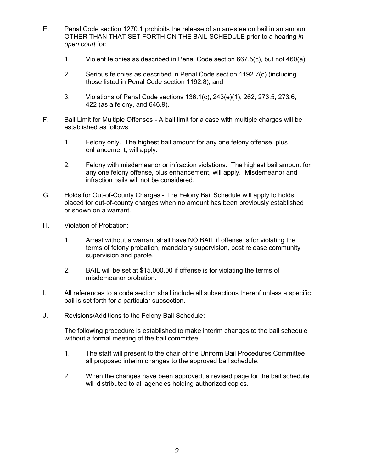- E. Penal Code section 1270.1 prohibits the release of an arrestee on bail in an amount OTHER THAN THAT SET FORTH ON THE BAIL SCHEDULE prior to a hearing *in open court* for:
	- 1. Violent felonies as described in Penal Code section 667.5(c), but not 460(a);
	- 2. Serious felonies as described in Penal Code section 1192.7(c) (including those listed in Penal Code section 1192.8); and
	- 3. Violations of Penal Code sections 136.1(c), 243(e)(1), 262, 273.5, 273.6, 422 (as a felony, and 646.9).
- F. Bail Limit for Multiple Offenses A bail limit for a case with multiple charges will be established as follows:
	- 1. Felony only. The highest bail amount for any one felony offense, plus enhancement, will apply.
	- 2. Felony with misdemeanor or infraction violations. The highest bail amount for any one felony offense, plus enhancement, will apply. Misdemeanor and infraction bails will not be considered.
- G. Holds for Out-of-County Charges The Felony Bail Schedule will apply to holds placed for out-of-county charges when no amount has been previously established or shown on a warrant.
- H. Violation of Probation:
	- 1. Arrest without a warrant shall have NO BAIL if offense is for violating the terms of felony probation, mandatory supervision, post release community supervision and parole.
	- 2. BAIL will be set at \$15,000.00 if offense is for violating the terms of misdemeanor probation.
- I. All references to a code section shall include all subsections thereof unless a specific bail is set forth for a particular subsection.
- J. Revisions/Additions to the Felony Bail Schedule:

The following procedure is established to make interim changes to the bail schedule without a formal meeting of the bail committee

- 1. The staff will present to the chair of the Uniform Bail Procedures Committee all proposed interim changes to the approved bail schedule.
- 2. When the changes have been approved, a revised page for the bail schedule will distributed to all agencies holding authorized copies.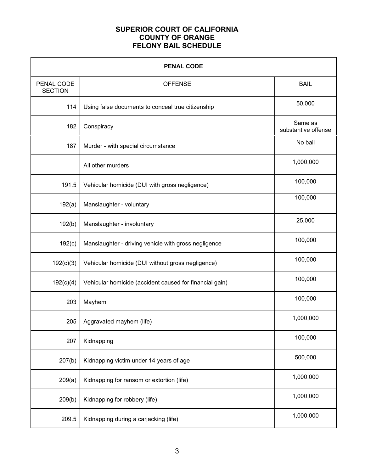#### **SUPERIOR COURT OF CALIFORNIA COUNTY OF ORANGE FELONY BAIL SCHEDULE**

| <b>PENAL CODE</b>            |                                                         |                                |
|------------------------------|---------------------------------------------------------|--------------------------------|
| PENAL CODE<br><b>SECTION</b> | <b>OFFENSE</b>                                          | <b>BAIL</b>                    |
| 114                          | Using false documents to conceal true citizenship       | 50,000                         |
| 182                          | Conspiracy                                              | Same as<br>substantive offense |
| 187                          | Murder - with special circumstance                      | No bail                        |
|                              | All other murders                                       | 1,000,000                      |
| 191.5                        | Vehicular homicide (DUI with gross negligence)          | 100,000                        |
| 192(a)                       | Manslaughter - voluntary                                | 100,000                        |
| 192(b)                       | Manslaughter - involuntary                              | 25,000                         |
| 192(c)                       | Manslaughter - driving vehicle with gross negligence    | 100,000                        |
| 192(c)(3)                    | Vehicular homicide (DUI without gross negligence)       | 100,000                        |
| 192(c)(4)                    | Vehicular homicide (accident caused for financial gain) | 100,000                        |
| 203                          | Mayhem                                                  | 100,000                        |
| 205                          | Aggravated mayhem (life)                                | 1,000,000                      |
| 207                          | Kidnapping                                              | 100,000                        |
| 207(b)                       | Kidnapping victim under 14 years of age                 | 500,000                        |
| 209(a)                       | Kidnapping for ransom or extortion (life)               | 1,000,000                      |
| 209(b)                       | Kidnapping for robbery (life)                           | 1,000,000                      |
| 209.5                        | Kidnapping during a carjacking (life)                   | 1,000,000                      |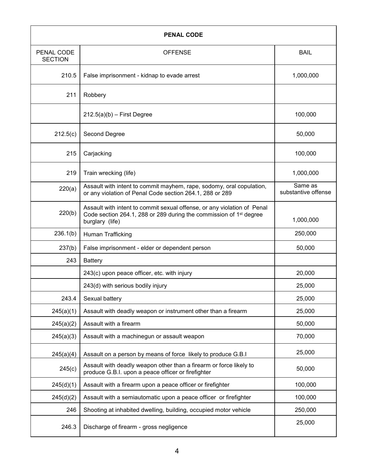| <b>PENAL CODE</b>            |                                                                                                                                                                              |                                |
|------------------------------|------------------------------------------------------------------------------------------------------------------------------------------------------------------------------|--------------------------------|
| PENAL CODE<br><b>SECTION</b> | <b>OFFENSE</b>                                                                                                                                                               | <b>BAIL</b>                    |
| 210.5                        | False imprisonment - kidnap to evade arrest                                                                                                                                  | 1,000,000                      |
| 211                          | Robbery                                                                                                                                                                      |                                |
|                              | $212.5(a)(b)$ – First Degree                                                                                                                                                 | 100,000                        |
| 212.5(c)                     | Second Degree                                                                                                                                                                | 50,000                         |
| 215                          | Carjacking                                                                                                                                                                   | 100,000                        |
| 219                          | Train wrecking (life)                                                                                                                                                        | 1,000,000                      |
| 220(a)                       | Assault with intent to commit mayhem, rape, sodomy, oral copulation,<br>or any violation of Penal Code section 264.1, 288 or 289                                             | Same as<br>substantive offense |
| 220(b)                       | Assault with intent to commit sexual offense, or any violation of Penal<br>Code section 264.1, 288 or 289 during the commission of 1 <sup>st</sup> degree<br>burglary (life) | 1,000,000                      |
| 236.1(b)                     | Human Trafficking                                                                                                                                                            | 250,000                        |
| 237(b)                       | False imprisonment - elder or dependent person                                                                                                                               | 50,000                         |
| 243                          | <b>Battery</b>                                                                                                                                                               |                                |
|                              | 243(c) upon peace officer, etc. with injury                                                                                                                                  | 20,000                         |
|                              | 243(d) with serious bodily injury                                                                                                                                            | 25,000                         |
| 243.4                        | Sexual battery                                                                                                                                                               | 25,000                         |
| 245(a)(1)                    | Assault with deadly weapon or instrument other than a firearm                                                                                                                | 25,000                         |
| 245(a)(2)                    | Assault with a firearm                                                                                                                                                       | 50,000                         |
| 245(a)(3)                    | Assault with a machinegun or assault weapon                                                                                                                                  | 70,000                         |
| 245(a)(4)                    | Assault on a person by means of force likely to produce G.B.I                                                                                                                | 25,000                         |
| 245(c)                       | Assault with deadly weapon other than a firearm or force likely to<br>produce G.B.I. upon a peace officer or firefighter                                                     | 50,000                         |
| 245(d)(1)                    | Assault with a firearm upon a peace officer or firefighter                                                                                                                   | 100,000                        |
| 245(d)(2)                    | Assault with a semiautomatic upon a peace officer or firefighter                                                                                                             | 100,000                        |
| 246                          | Shooting at inhabited dwelling, building, occupied motor vehicle                                                                                                             | 250,000                        |
| 246.3                        | Discharge of firearm - gross negligence                                                                                                                                      | 25,000                         |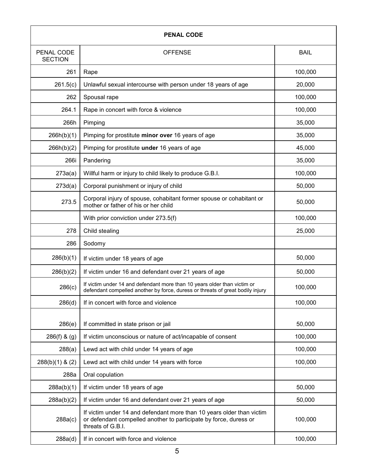| <b>PENAL CODE</b>            |                                                                                                                                                                 |             |
|------------------------------|-----------------------------------------------------------------------------------------------------------------------------------------------------------------|-------------|
| PENAL CODE<br><b>SECTION</b> | <b>OFFENSE</b>                                                                                                                                                  | <b>BAIL</b> |
| 261                          | Rape                                                                                                                                                            | 100,000     |
| 261.5(c)                     | Unlawful sexual intercourse with person under 18 years of age                                                                                                   | 20,000      |
| 262                          | Spousal rape                                                                                                                                                    | 100,000     |
| 264.1                        | Rape in concert with force & violence                                                                                                                           | 100,000     |
| 266h                         | Pimping                                                                                                                                                         | 35,000      |
| 266h(b)(1)                   | Pimping for prostitute minor over 16 years of age                                                                                                               | 35,000      |
| 266h(b)(2)                   | Pimping for prostitute under 16 years of age                                                                                                                    | 45,000      |
| 266i                         | Pandering                                                                                                                                                       | 35,000      |
| 273a(a)                      | Willful harm or injury to child likely to produce G.B.I.                                                                                                        | 100,000     |
| 273d(a)                      | Corporal punishment or injury of child                                                                                                                          | 50,000      |
| 273.5                        | Corporal injury of spouse, cohabitant former spouse or cohabitant or<br>mother or father of his or her child                                                    | 50,000      |
|                              | With prior conviction under 273.5(f)                                                                                                                            | 100,000     |
| 278                          | Child stealing                                                                                                                                                  | 25,000      |
| 286                          | Sodomy                                                                                                                                                          |             |
| 286(b)(1)                    | If victim under 18 years of age                                                                                                                                 | 50,000      |
| 286(b)(2)                    | If victim under 16 and defendant over 21 years of age                                                                                                           | 50,000      |
| 286(c)                       | If victim under 14 and defendant more than 10 years older than victim or<br>defendant compelled another by force, duress or threats of great bodily injury      | 100,000     |
| 286(d)                       | If in concert with force and violence                                                                                                                           | 100,000     |
| 286(e)                       | If committed in state prison or jail                                                                                                                            | 50,000      |
| 286(f) & (g)                 | If victim unconscious or nature of act/incapable of consent                                                                                                     | 100,000     |
| 288(a)                       | Lewd act with child under 14 years of age                                                                                                                       | 100,000     |
| $288(b)(1)$ & (2)            | Lewd act with child under 14 years with force                                                                                                                   | 100,000     |
| 288a                         | Oral copulation                                                                                                                                                 |             |
| 288a(b)(1)                   | If victim under 18 years of age                                                                                                                                 | 50,000      |
| 288a(b)(2)                   | If victim under 16 and defendant over 21 years of age                                                                                                           | 50,000      |
| 288a(c)                      | If victim under 14 and defendant more than 10 years older than victim<br>or defendant compelled another to participate by force, duress or<br>threats of G.B.I. | 100,000     |
| 288a(d)                      | If in concert with force and violence                                                                                                                           | 100,000     |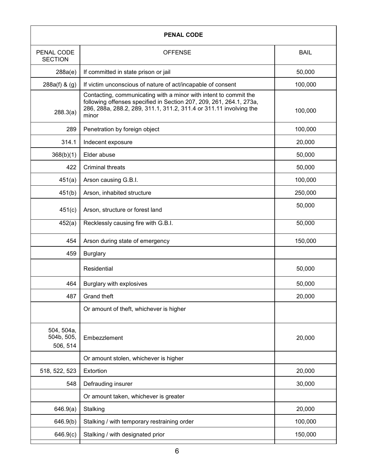| <b>PENAL CODE</b>                    |                                                                                                                                                                                                                        |             |
|--------------------------------------|------------------------------------------------------------------------------------------------------------------------------------------------------------------------------------------------------------------------|-------------|
| PENAL CODE<br><b>SECTION</b>         | <b>OFFENSE</b>                                                                                                                                                                                                         | <b>BAIL</b> |
| 288a(e)                              | If committed in state prison or jail                                                                                                                                                                                   | 50,000      |
| $288a(f)$ & $(g)$                    | If victim unconscious of nature of act/incapable of consent                                                                                                                                                            | 100,000     |
| 288.3(a)                             | Contacting, communicating with a minor with intent to commit the<br>following offenses specified in Section 207, 209, 261, 264.1, 273a,<br>286, 288a, 288.2, 289, 311.1, 311.2, 311.4 or 311.11 involving the<br>minor | 100,000     |
| 289                                  | Penetration by foreign object                                                                                                                                                                                          | 100,000     |
| 314.1                                | Indecent exposure                                                                                                                                                                                                      | 20,000      |
| 368(b)(1)                            | Elder abuse                                                                                                                                                                                                            | 50,000      |
| 422                                  | <b>Criminal threats</b>                                                                                                                                                                                                | 50,000      |
| 451(a)                               | Arson causing G.B.I.                                                                                                                                                                                                   | 100,000     |
| 451(b)                               | Arson, inhabited structure                                                                                                                                                                                             | 250,000     |
| 451(c)                               | Arson, structure or forest land                                                                                                                                                                                        | 50,000      |
| 452(a)                               | Recklessly causing fire with G.B.I.                                                                                                                                                                                    | 50,000      |
| 454                                  | Arson during state of emergency                                                                                                                                                                                        | 150,000     |
| 459                                  | <b>Burglary</b>                                                                                                                                                                                                        |             |
|                                      | Residential                                                                                                                                                                                                            | 50,000      |
| 464                                  | Burglary with explosives                                                                                                                                                                                               | 50,000      |
| 487                                  | Grand theft                                                                                                                                                                                                            | 20,000      |
|                                      | Or amount of theft, whichever is higher                                                                                                                                                                                |             |
| 504, 504a,<br>504b, 505,<br>506, 514 | Embezzlement                                                                                                                                                                                                           | 20,000      |
|                                      | Or amount stolen, whichever is higher                                                                                                                                                                                  |             |
| 518, 522, 523                        | Extortion                                                                                                                                                                                                              | 20,000      |
| 548                                  | Defrauding insurer                                                                                                                                                                                                     | 30,000      |
|                                      | Or amount taken, whichever is greater                                                                                                                                                                                  |             |
| 646.9(a)                             | Stalking                                                                                                                                                                                                               | 20,000      |
| 646.9(b)                             | Stalking / with temporary restraining order                                                                                                                                                                            | 100,000     |
| 646.9(c)                             | Stalking / with designated prior                                                                                                                                                                                       | 150,000     |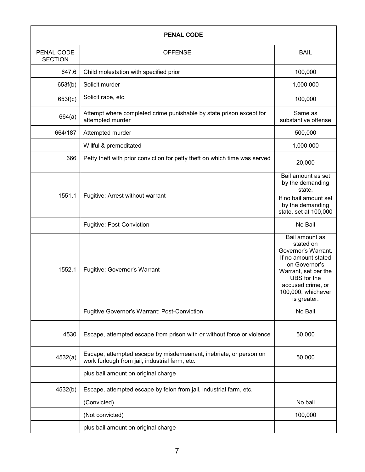| <b>PENAL CODE</b>            |                                                                                                                     |                                                                                                                                                                                             |
|------------------------------|---------------------------------------------------------------------------------------------------------------------|---------------------------------------------------------------------------------------------------------------------------------------------------------------------------------------------|
| PENAL CODE<br><b>SECTION</b> | <b>OFFENSE</b>                                                                                                      | <b>BAIL</b>                                                                                                                                                                                 |
| 647.6                        | Child molestation with specified prior                                                                              | 100,000                                                                                                                                                                                     |
| 653f(b)                      | Solicit murder                                                                                                      | 1,000,000                                                                                                                                                                                   |
| 653f(c)                      | Solicit rape, etc.                                                                                                  | 100,000                                                                                                                                                                                     |
| 664(a)                       | Attempt where completed crime punishable by state prison except for<br>attempted murder                             | Same as<br>substantive offense                                                                                                                                                              |
| 664/187                      | Attempted murder                                                                                                    | 500,000                                                                                                                                                                                     |
|                              | Willful & premeditated                                                                                              | 1,000,000                                                                                                                                                                                   |
| 666                          | Petty theft with prior conviction for petty theft on which time was served                                          | 20,000                                                                                                                                                                                      |
| 1551.1                       | Fugitive: Arrest without warrant                                                                                    | Bail amount as set<br>by the demanding<br>state.<br>If no bail amount set<br>by the demanding<br>state, set at 100,000                                                                      |
|                              | <b>Fugitive: Post-Conviction</b>                                                                                    | No Bail                                                                                                                                                                                     |
| 1552.1                       | Fugitive: Governor's Warrant                                                                                        | Bail amount as<br>stated on<br>Governor's Warrant.<br>If no amount stated<br>on Governor's<br>Warrant, set per the<br>UBS for the<br>accused crime, or<br>100,000, whichever<br>is greater. |
|                              | Fugitive Governor's Warrant: Post-Conviction                                                                        | No Bail                                                                                                                                                                                     |
| 4530                         | Escape, attempted escape from prison with or without force or violence                                              | 50,000                                                                                                                                                                                      |
| 4532(a)                      | Escape, attempted escape by misdemeanant, inebriate, or person on<br>work furlough from jail, industrial farm, etc. | 50,000                                                                                                                                                                                      |
|                              | plus bail amount on original charge                                                                                 |                                                                                                                                                                                             |
| 4532(b)                      | Escape, attempted escape by felon from jail, industrial farm, etc.                                                  |                                                                                                                                                                                             |
|                              | (Convicted)                                                                                                         | No bail                                                                                                                                                                                     |
|                              | (Not convicted)                                                                                                     | 100,000                                                                                                                                                                                     |
|                              | plus bail amount on original charge                                                                                 |                                                                                                                                                                                             |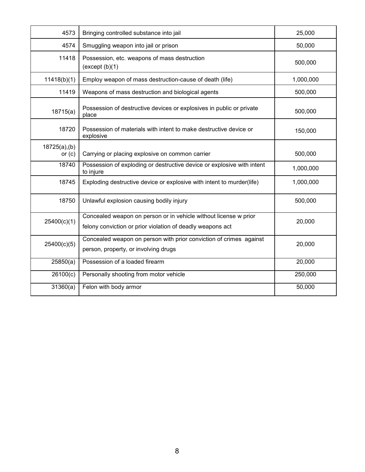| 4573                      | Bringing controlled substance into jail                                                                                        | 25,000    |
|---------------------------|--------------------------------------------------------------------------------------------------------------------------------|-----------|
| 4574                      | Smuggling weapon into jail or prison                                                                                           | 50,000    |
| 11418                     | Possession, etc. weapons of mass destruction<br>(except (b)(1)                                                                 | 500,000   |
| 11418(b)(1)               | Employ weapon of mass destruction-cause of death (life)                                                                        | 1,000,000 |
| 11419                     | Weapons of mass destruction and biological agents                                                                              | 500,000   |
| 18715(a)                  | Possession of destructive devices or explosives in public or private<br>place                                                  | 500,000   |
| 18720                     | Possession of materials with intent to make destructive device or<br>explosive                                                 | 150,000   |
| 18725(a), (b)<br>or $(c)$ | Carrying or placing explosive on common carrier                                                                                | 500,000   |
| 18740                     | Possession of exploding or destructive device or explosive with intent<br>to injure                                            | 1,000,000 |
| 18745                     | Exploding destructive device or explosive with intent to murder(life)                                                          | 1,000,000 |
| 18750                     | Unlawful explosion causing bodily injury                                                                                       | 500,000   |
| 25400(c)(1)               | Concealed weapon on person or in vehicle without license w prior<br>felony conviction or prior violation of deadly weapons act | 20,000    |
| 25400(c)(5)               | Concealed weapon on person with prior conviction of crimes against<br>person, property, or involving drugs                     | 20,000    |
| 25850(a)                  | Possession of a loaded firearm                                                                                                 | 20,000    |
| 26100(c)                  | Personally shooting from motor vehicle                                                                                         | 250,000   |
| 31360(a)                  | Felon with body armor                                                                                                          | 50,000    |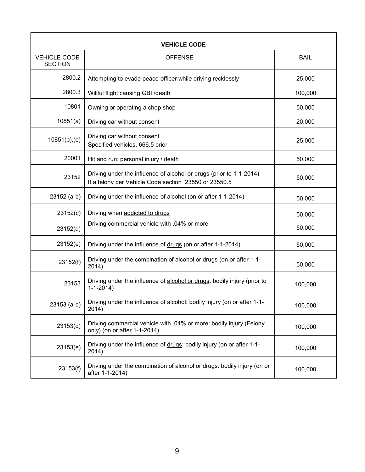| <b>VEHICLE CODE</b>                   |                                                                                                                              |             |
|---------------------------------------|------------------------------------------------------------------------------------------------------------------------------|-------------|
| <b>VEHICLE CODE</b><br><b>SECTION</b> | <b>OFFENSE</b>                                                                                                               | <b>BAIL</b> |
| 2800.2                                | Attempting to evade peace officer while driving recklessly                                                                   | 25,000      |
| 2800.3                                | Willful flight causing GBI./death                                                                                            | 100,000     |
| 10801                                 | Owning or operating a chop shop                                                                                              | 50,000      |
| 10851(a)                              | Driving car without consent                                                                                                  | 20,000      |
| 10851(b),(e)                          | Driving car without consent<br>Specified vehicles, 666.5 prior                                                               | 25,000      |
| 20001                                 | Hit and run: personal injury / death                                                                                         | 50,000      |
| 23152                                 | Driving under the influence of alcohol or drugs (prior to 1-1-2014)<br>If a felony per Vehicle Code section 23550 or 23550.5 | 50,000      |
| $23152(a-b)$                          | Driving under the influence of alcohol (on or after 1-1-2014)                                                                | 50,000      |
| 23152(c)                              | Driving when addicted to drugs                                                                                               | 50,000      |
| 23152(d)                              | Driving commercial vehicle with .04% or more                                                                                 | 50,000      |
| 23152(e)                              | Driving under the influence of drugs (on or after 1-1-2014)                                                                  | 50,000      |
| 23152(f)                              | Driving under the combination of alcohol or drugs (on or after 1-1-<br>2014)                                                 | 50,000      |
| 23153                                 | Driving under the influence of alcohol or drugs: bodily injury (prior to<br>$1 - 1 - 2014$                                   | 100,000     |
| $23153(a-b)$                          | Driving under the influence of alcohol: bodily injury (on or after 1-1-<br>2014)                                             | 100,000     |
| 23153(d)                              | Driving commercial vehicle with .04% or more: bodily injury (Felony<br>only) (on or after 1-1-2014)                          | 100,000     |
| 23153(e)                              | Driving under the influence of drugs: bodily injury (on or after 1-1-<br>2014)                                               | 100,000     |
| 23153(f)                              | Driving under the combination of alcohol or drugs: bodily injury (on or<br>after 1-1-2014)                                   | 100,000     |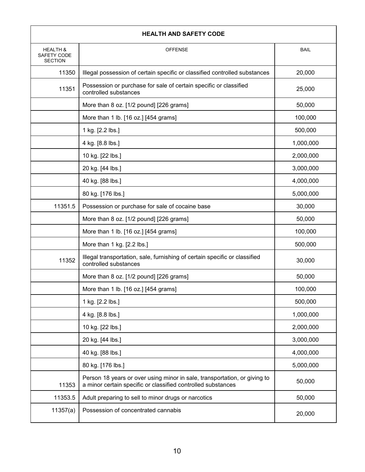| <b>HEALTH AND SAFETY CODE</b>                        |                                                                                                                                           |             |
|------------------------------------------------------|-------------------------------------------------------------------------------------------------------------------------------------------|-------------|
| <b>HEALTH &amp;</b><br>SAFETY CODE<br><b>SECTION</b> | <b>OFFENSE</b>                                                                                                                            | <b>BAIL</b> |
| 11350                                                | Illegal possession of certain specific or classified controlled substances                                                                | 20,000      |
| 11351                                                | Possession or purchase for sale of certain specific or classified<br>controlled substances                                                | 25,000      |
|                                                      | More than 8 oz. [1/2 pound] [226 grams]                                                                                                   | 50,000      |
|                                                      | More than 1 lb. [16 oz.] [454 grams]                                                                                                      | 100,000     |
|                                                      | 1 kg. [2.2 lbs.]                                                                                                                          | 500,000     |
|                                                      | 4 kg. [8.8 lbs.]                                                                                                                          | 1,000,000   |
|                                                      | 10 kg. [22 lbs.]                                                                                                                          | 2,000,000   |
|                                                      | 20 kg. [44 lbs.]                                                                                                                          | 3,000,000   |
|                                                      | 40 kg. [88 lbs.]                                                                                                                          | 4,000,000   |
|                                                      | 80 kg. [176 lbs.]                                                                                                                         | 5,000,000   |
| 11351.5                                              | Possession or purchase for sale of cocaine base                                                                                           | 30,000      |
|                                                      | More than 8 oz. [1/2 pound] [226 grams]                                                                                                   | 50,000      |
|                                                      | More than 1 lb. [16 oz.] [454 grams]                                                                                                      | 100,000     |
|                                                      | More than 1 kg. [2.2 lbs.]                                                                                                                | 500,000     |
| 11352                                                | Illegal transportation, sale, furnishing of certain specific or classified<br>controlled substances                                       | 30,000      |
|                                                      | More than 8 oz. [1/2 pound] [226 grams]                                                                                                   | 50,000      |
|                                                      | More than 1 lb. [16 oz.] [454 grams]                                                                                                      | 100,000     |
|                                                      | 1 kg. [2.2 lbs.]                                                                                                                          | 500,000     |
|                                                      | 4 kg. [8.8 lbs.]                                                                                                                          | 1,000,000   |
|                                                      | 10 kg. [22 lbs.]                                                                                                                          | 2,000,000   |
|                                                      | 20 kg. [44 lbs.]                                                                                                                          | 3,000,000   |
|                                                      | 40 kg. [88 lbs.]                                                                                                                          | 4,000,000   |
|                                                      | 80 kg. [176 lbs.]                                                                                                                         | 5,000,000   |
| 11353                                                | Person 18 years or over using minor in sale, transportation, or giving to<br>a minor certain specific or classified controlled substances | 50,000      |
| 11353.5                                              | Adult preparing to sell to minor drugs or narcotics                                                                                       | 50,000      |
| 11357(a)                                             | Possession of concentrated cannabis                                                                                                       | 20,000      |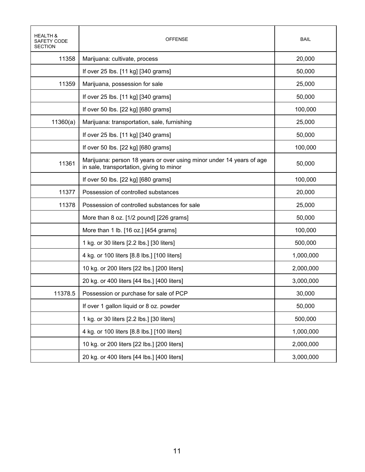| HEALTH &<br>SAFETY CODE<br><b>SECTION</b> | OFFENSE                                                                                                          | <b>BAIL</b> |
|-------------------------------------------|------------------------------------------------------------------------------------------------------------------|-------------|
| 11358                                     | Marijuana: cultivate, process                                                                                    | 20,000      |
|                                           | If over 25 lbs. [11 kg] [340 grams]                                                                              | 50,000      |
| 11359                                     | Marijuana, possession for sale                                                                                   | 25,000      |
|                                           | If over 25 lbs. [11 kg] [340 grams]                                                                              | 50,000      |
|                                           | If over 50 lbs. [22 kg] [680 grams]                                                                              | 100,000     |
| 11360(a)                                  | Marijuana: transportation, sale, furnishing                                                                      | 25,000      |
|                                           | If over 25 lbs. [11 kg] [340 grams]                                                                              | 50,000      |
|                                           | If over 50 lbs. [22 kg] [680 grams]                                                                              | 100,000     |
| 11361                                     | Marijuana: person 18 years or over using minor under 14 years of age<br>in sale, transportation, giving to minor | 50,000      |
|                                           | If over 50 lbs. [22 kg] [680 grams]                                                                              | 100,000     |
| 11377                                     | Possession of controlled substances                                                                              | 20,000      |
| 11378                                     | Possession of controlled substances for sale                                                                     | 25,000      |
|                                           | More than 8 oz. [1/2 pound] [226 grams]                                                                          | 50,000      |
|                                           | More than 1 lb. [16 oz.] [454 grams]                                                                             | 100,000     |
|                                           | 1 kg. or 30 liters [2.2 lbs.] [30 liters]                                                                        | 500,000     |
|                                           | 4 kg. or 100 liters [8.8 lbs.] [100 liters]                                                                      | 1,000,000   |
|                                           | 10 kg. or 200 liters [22 lbs.] [200 liters]                                                                      | 2,000,000   |
|                                           | 20 kg. or 400 liters [44 lbs.] [400 liters]                                                                      | 3,000,000   |
| 11378.5                                   | Possession or purchase for sale of PCP                                                                           | 30,000      |
|                                           | If over 1 gallon liquid or 8 oz. powder                                                                          | 50,000      |
|                                           | 1 kg. or 30 liters [2.2 lbs.] [30 liters]                                                                        | 500,000     |
|                                           | 4 kg. or 100 liters [8.8 lbs.] [100 liters]                                                                      | 1,000,000   |
|                                           | 10 kg. or 200 liters [22 lbs.] [200 liters]                                                                      | 2,000,000   |
|                                           | 20 kg. or 400 liters [44 lbs.] [400 liters]                                                                      | 3,000,000   |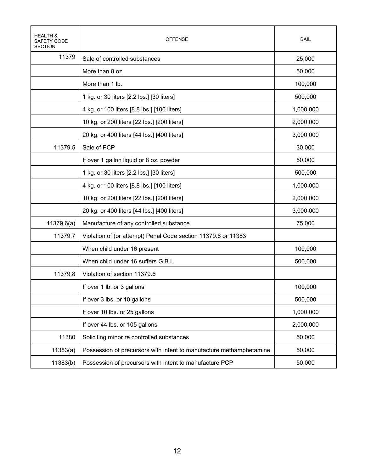| <b>HEALTH &amp;</b><br>SAFETY CODE<br><b>SECTION</b> | <b>OFFENSE</b>                                                      | <b>BAIL</b> |
|------------------------------------------------------|---------------------------------------------------------------------|-------------|
| 11379                                                | Sale of controlled substances                                       | 25,000      |
|                                                      | More than 8 oz.                                                     | 50,000      |
|                                                      | More than 1 lb.                                                     | 100,000     |
|                                                      | 1 kg. or 30 liters [2.2 lbs.] [30 liters]                           | 500,000     |
|                                                      | 4 kg. or 100 liters [8.8 lbs.] [100 liters]                         | 1,000,000   |
|                                                      | 10 kg. or 200 liters [22 lbs.] [200 liters]                         | 2,000,000   |
|                                                      | 20 kg. or 400 liters [44 lbs.] [400 liters]                         | 3,000,000   |
| 11379.5                                              | Sale of PCP                                                         | 30,000      |
|                                                      | If over 1 gallon liquid or 8 oz. powder                             | 50,000      |
|                                                      | 1 kg. or 30 liters [2.2 lbs.] [30 liters]                           | 500,000     |
|                                                      | 4 kg. or 100 liters [8.8 lbs.] [100 liters]                         | 1,000,000   |
|                                                      | 10 kg. or 200 liters [22 lbs.] [200 liters]                         | 2,000,000   |
|                                                      | 20 kg. or 400 liters [44 lbs.] [400 liters]                         | 3,000,000   |
| 11379.6(a)                                           | Manufacture of any controlled substance                             | 75,000      |
| 11379.7                                              | Violation of (or attempt) Penal Code section 11379.6 or 11383       |             |
|                                                      | When child under 16 present                                         | 100,000     |
|                                                      | When child under 16 suffers G.B.I.                                  | 500,000     |
| 11379.8                                              | Violation of section 11379.6                                        |             |
|                                                      | If over 1 lb. or 3 gallons                                          | 100,000     |
|                                                      | If over 3 lbs. or 10 gallons                                        | 500,000     |
|                                                      | If over 10 lbs. or 25 gallons                                       | 1,000,000   |
|                                                      | If over 44 lbs. or 105 gallons                                      | 2,000,000   |
| 11380                                                | Soliciting minor re controlled substances                           | 50,000      |
| 11383(a)                                             | Possession of precursors with intent to manufacture methamphetamine | 50,000      |
| 11383(b)                                             | Possession of precursors with intent to manufacture PCP             | 50,000      |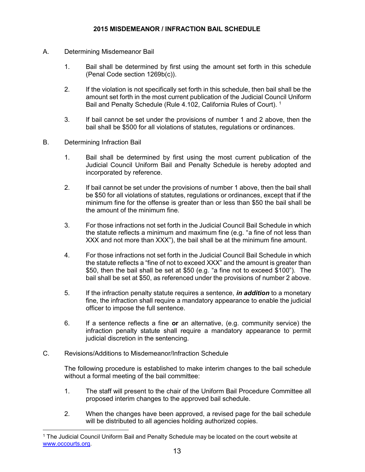- A. Determining Misdemeanor Bail
	- 1. Bail shall be determined by first using the amount set forth in this schedule (Penal Code section 1269b(c)).
	- 2. If the violation is not specifically set forth in this schedule, then bail shall be the amount set forth in the most current publication of the Judicial Council Uniform Bail and Penalty Schedule (Rule 4.102, California Rules of Court). <sup>1</sup>
	- 3. If bail cannot be set under the provisions of number 1 and 2 above, then the bail shall be \$500 for all violations of statutes, regulations or ordinances.
- B. Determining Infraction Bail

 $\overline{a}$ 

- 1. Bail shall be determined by first using the most current publication of the Judicial Council Uniform Bail and Penalty Schedule is hereby adopted and incorporated by reference.
- 2. If bail cannot be set under the provisions of number 1 above, then the bail shall be \$50 for all violations of statutes, regulations or ordinances, except that if the minimum fine for the offense is greater than or less than \$50 the bail shall be the amount of the minimum fine.
- 3. For those infractions not set forth in the Judicial Council Bail Schedule in which the statute reflects a minimum and maximum fine (e.g. "a fine of not less than XXX and not more than XXX"), the bail shall be at the minimum fine amount.
- 4. For those infractions not set forth in the Judicial Council Bail Schedule in which the statute reflects a "fine of not to exceed XXX" and the amount is greater than \$50, then the bail shall be set at \$50 (e.g. "a fine not to exceed \$100"). The bail shall be set at \$50, as referenced under the provisions of number 2 above.
- 5. If the infraction penalty statute requires a sentence, *in addition* to a monetary fine, the infraction shall require a mandatory appearance to enable the judicial officer to impose the full sentence.
- 6. If a sentence reflects a fine **or** an alternative, (e.g. community service) the infraction penalty statute shall require a mandatory appearance to permit judicial discretion in the sentencing.
- C. Revisions/Additions to Misdemeanor/Infraction Schedule

The following procedure is established to make interim changes to the bail schedule without a formal meeting of the bail committee:

- 1. The staff will present to the chair of the Uniform Bail Procedure Committee all proposed interim changes to the approved bail schedule.
- 2. When the changes have been approved, a revised page for the bail schedule will be distributed to all agencies holding authorized copies.

<sup>1</sup> The Judicial Council Uniform Bail and Penalty Schedule may be located on the court website at [www.occourts.org.](http://www.occourts.org/)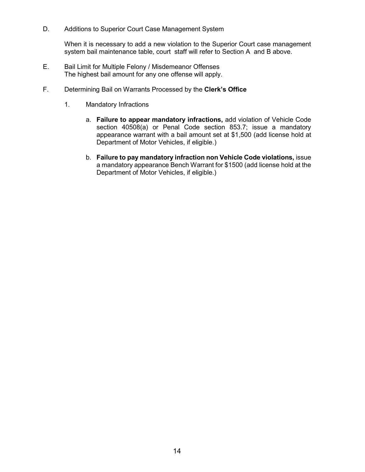D. Additions to Superior Court Case Management System

When it is necessary to add a new violation to the Superior Court case management system bail maintenance table, court staff will refer to Section A and B above.

- E. Bail Limit for Multiple Felony / Misdemeanor Offenses The highest bail amount for any one offense will apply.
- F. Determining Bail on Warrants Processed by the **Clerk's Office**
	- 1. Mandatory Infractions
		- a. **Failure to appear mandatory infractions,** add violation of Vehicle Code section 40508(a) or Penal Code section 853.7; issue a mandatory appearance warrant with a bail amount set at \$1,500 (add license hold at Department of Motor Vehicles, if eligible.)
		- b. **Failure to pay mandatory infraction non Vehicle Code violations,** issue a mandatory appearance Bench Warrant for \$1500 (add license hold at the Department of Motor Vehicles, if eligible.)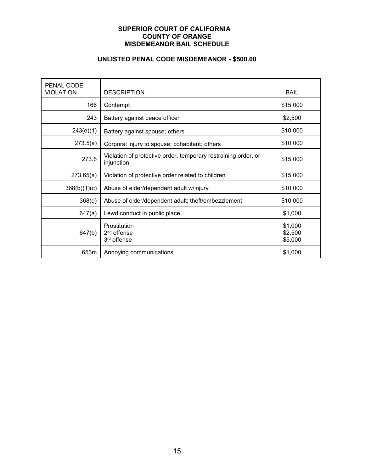#### **SUPERIOR COURT OF CALIFORNIA COUNTY OF ORANGE MISDEMEANOR BAIL SCHEDULE**

#### **UNLISTED PENAL CODE MISDEMEANOR - \$500.00**

| PENAL CODE<br><b>VIOLATION</b> | <b>DESCRIPTION</b>                                                           | <b>BAIL</b>                   |
|--------------------------------|------------------------------------------------------------------------------|-------------------------------|
| 166                            | Contempt                                                                     | \$15,000                      |
| 243                            | Battery against peace officer                                                | \$2,500                       |
| 243(e)(1)                      | Battery against spouse; others                                               | \$10,000                      |
| 273.5(a)                       | Corporal injury to spouse; cohabitant; others                                | \$10,000                      |
| 273.6                          | Violation of protective order, temporary restraining order, or<br>injunction | \$15,000                      |
| 273.65(a)                      | Violation of protective order related to children                            | \$15,000                      |
| 368(b)(1)(c)                   | Abuse of elder/dependent adult w/injury                                      | \$10,000                      |
| 368(d)                         | Abuse of elder/dependent adult; theft/embezzlement                           | \$10,000                      |
| 647(a)                         | Lewd conduct in public place                                                 | \$1,000                       |
| 647(b)                         | Prostitution<br>2 <sup>nd</sup> offense<br>3 <sup>rd</sup> offense           | \$1,000<br>\$2,500<br>\$5,000 |
| 653m                           | Annoying communications                                                      | \$1,000                       |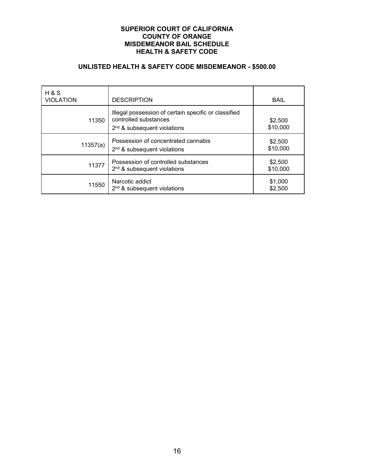#### **SUPERIOR COURT OF CALIFORNIA COUNTY OF ORANGE MISDEMEANOR BAIL SCHEDULE HEALTH & SAFETY CODE**

#### **UNLISTED HEALTH & SAFETY CODE MISDEMEANOR - \$500.00**

| H & S<br><b>VIOLATION</b> | <b>DESCRIPTION</b>                                                                                             | <b>BAIL</b>         |
|---------------------------|----------------------------------------------------------------------------------------------------------------|---------------------|
| 11350                     | Illegal possession of certain specific or classified<br>controlled substances<br>$2nd$ & subsequent violations | \$2,500<br>\$10,000 |
| 11357(a)                  | Possession of concentrated cannabis<br>$2nd$ & subsequent violations                                           | \$2,500<br>\$10,000 |
| 11377                     | Possession of controlled substances<br>$2nd$ & subsequent violations                                           | \$2,500<br>\$10,000 |
| 11550                     | Narcotic addict<br>$2nd$ & subsequent violations                                                               | \$1,000<br>\$2,500  |